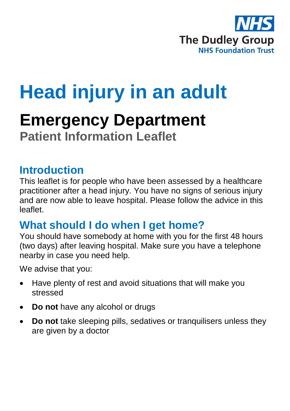

# **Head injury in an adult**

# **Emergency Department Patient Information Leaflet**

#### **Introduction**

This leaflet is for people who have been assessed by a healthcare practitioner after a head injury. You have no signs of serious injury and are now able to leave hospital. Please follow the advice in this leaflet.

## **What should I do when I get home?**

You should have somebody at home with you for the first 48 hours (two days) after leaving hospital. Make sure you have a telephone nearby in case you need help.

We advise that you:

- Have plenty of rest and avoid situations that will make you stressed
- **Do not** have any alcohol or drugs
- **Do not** take sleeping pills, sedatives or tranquilisers unless they are given by a doctor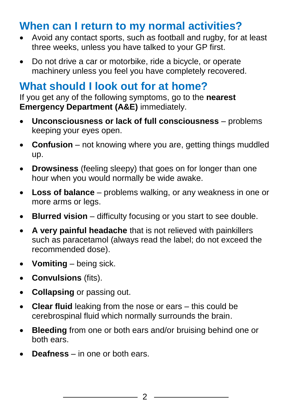# **When can I return to my normal activities?**

- Avoid any contact sports, such as football and rugby, for at least three weeks, unless you have talked to your GP first.
- Do not drive a car or motorbike, ride a bicycle, or operate machinery unless you feel you have completely recovered.

# **What should I look out for at home?**

If you get any of the following symptoms, go to the **nearest Emergency Department (A&E)** immediately.

- **Unconsciousness or lack of full consciousness** problems keeping your eyes open.
- **Confusion** not knowing where you are, getting things muddled up.
- **Drowsiness** (feeling sleepy) that goes on for longer than one hour when you would normally be wide awake.
- **Loss of balance** problems walking, or any weakness in one or more arms or legs.
- **Blurred vision** difficulty focusing or you start to see double.
- **A very painful headache** that is not relieved with painkillers such as paracetamol (always read the label; do not exceed the recommended dose).
- **Vomiting**  being sick.
- **Convulsions** (fits).
- **Collapsing** or passing out.
- **Clear fluid** leaking from the nose or ears this could be cerebrospinal fluid which normally surrounds the brain.
- **Bleeding** from one or both ears and/or bruising behind one or both ears.
- **Deafness**  in one or both ears.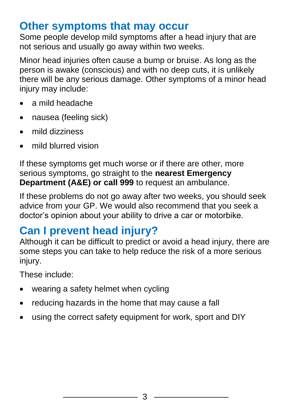## **Other symptoms that may occur**

Some people develop mild symptoms after a head injury that are not serious and usually go away within two weeks.

Minor head injuries often cause a bump or bruise. As long as the person is awake (conscious) and with no deep cuts, it is unlikely there will be any serious damage. Other symptoms of a minor head injury may include:

- a mild headache
- nausea (feeling sick)
- mild dizziness
- mild blurred vision

If these symptoms get much worse or if there are other, more serious symptoms, go straight to the **nearest Emergency Department (A&E) or call 999** to request an ambulance.

If these problems do not go away after two weeks, you should seek advice from your GP. We would also recommend that you seek a doctor's opinion about your ability to drive a car or motorbike.

# **Can I prevent head injury?**

Although it can be difficult to predict or avoid a head injury, there are some steps you can take to help reduce the risk of a more serious injury.

These include:

- wearing a safety helmet when cycling
- reducing hazards in the home that may cause a fall
- using the correct safety equipment for work, sport and DIY